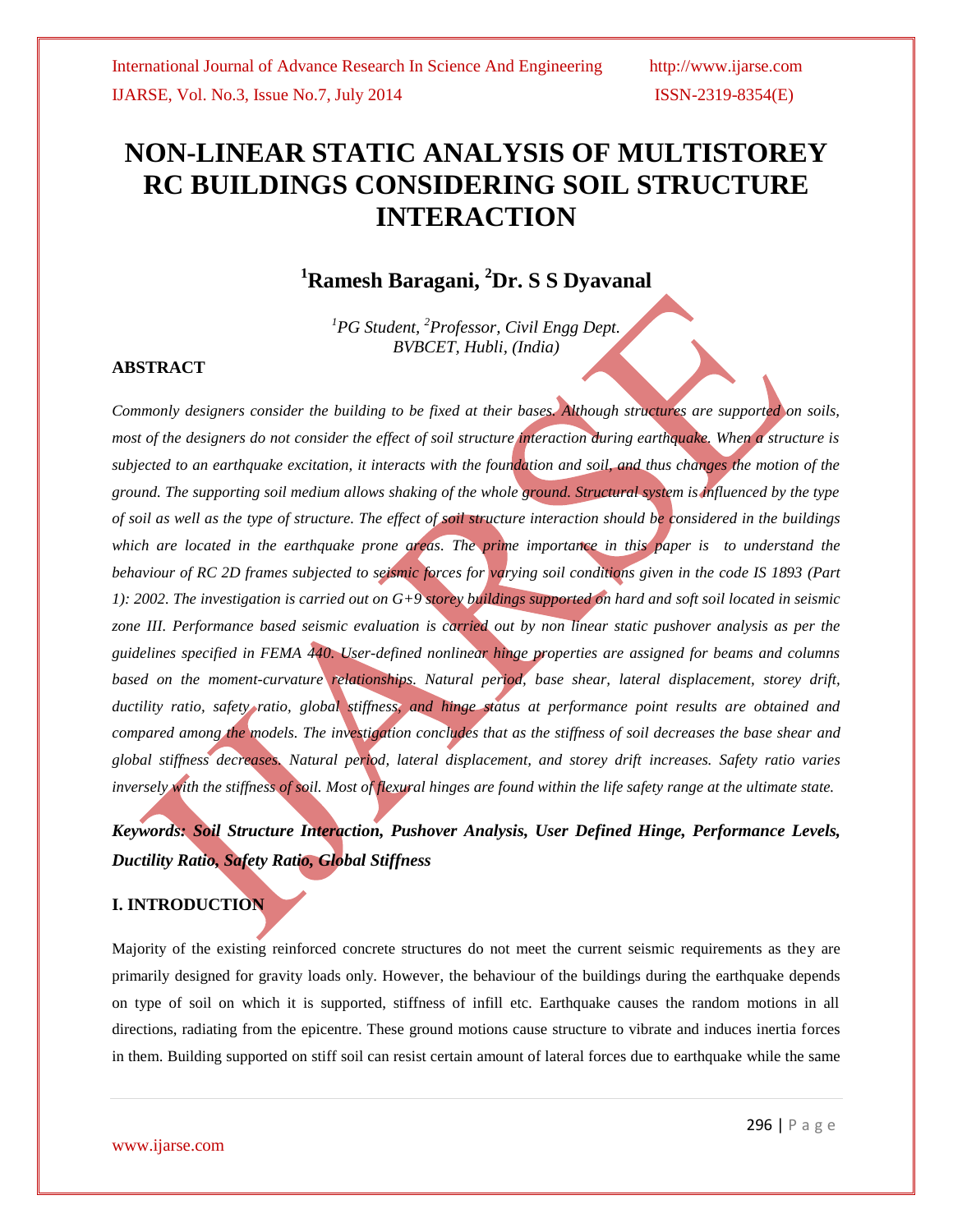# **NON-LINEAR STATIC ANALYSIS OF MULTISTOREY RC BUILDINGS CONSIDERING SOIL STRUCTURE INTERACTION**

# **<sup>1</sup>Ramesh Baragani, <sup>2</sup>Dr. S S Dyavanal**

*<sup>1</sup>PG Student, <sup>2</sup>Professor, Civil Engg Dept. BVBCET, Hubli, (India)*

## **ABSTRACT**

*Commonly designers consider the building to be fixed at their bases. Although structures are supported on soils, most of the designers do not consider the effect of soil structure interaction during earthquake. When a structure is subjected to an earthquake excitation, it interacts with the foundation and soil, and thus changes the motion of the ground. The supporting soil medium allows shaking of the whole ground. Structural system is influenced by the type of soil as well as the type of structure. The effect of soil structure interaction should be considered in the buildings which are located in the earthquake prone areas. The prime importance in this paper is to understand the behaviour of RC 2D frames subjected to seismic forces for varying soil conditions given in the code IS 1893 (Part 1): 2002. The investigation is carried out on G+9 storey buildings supported on hard and soft soil located in seismic zone III. Performance based seismic evaluation is carried out by non linear static pushover analysis as per the guidelines specified in FEMA 440. User-defined nonlinear hinge properties are assigned for beams and columns*  based on the moment-curvature relationships. Natural period, base shear, lateral displacement, storey drift, *ductility ratio, safety ratio, global stiffness, and hinge status at performance point results are obtained and compared among the models. The investigation concludes that as the stiffness of soil decreases the base shear and global stiffness decreases. Natural period, lateral displacement, and storey drift increases. Safety ratio varies inversely with the stiffness of soil. Most of flexural hinges are found within the life safety range at the ultimate state.*

# *Keywords: Soil Structure Interaction, Pushover Analysis, User Defined Hinge, Performance Levels, Ductility Ratio, Safety Ratio, Global Stiffness*

## **I. INTRODUCTION**

Majority of the existing reinforced concrete structures do not meet the current seismic requirements as they are primarily designed for gravity loads only. However, the behaviour of the buildings during the earthquake depends on type of soil on which it is supported, stiffness of infill etc. Earthquake causes the random motions in all directions, radiating from the epicentre. These ground motions cause structure to vibrate and induces inertia forces in them. Building supported on stiff soil can resist certain amount of lateral forces due to earthquake while the same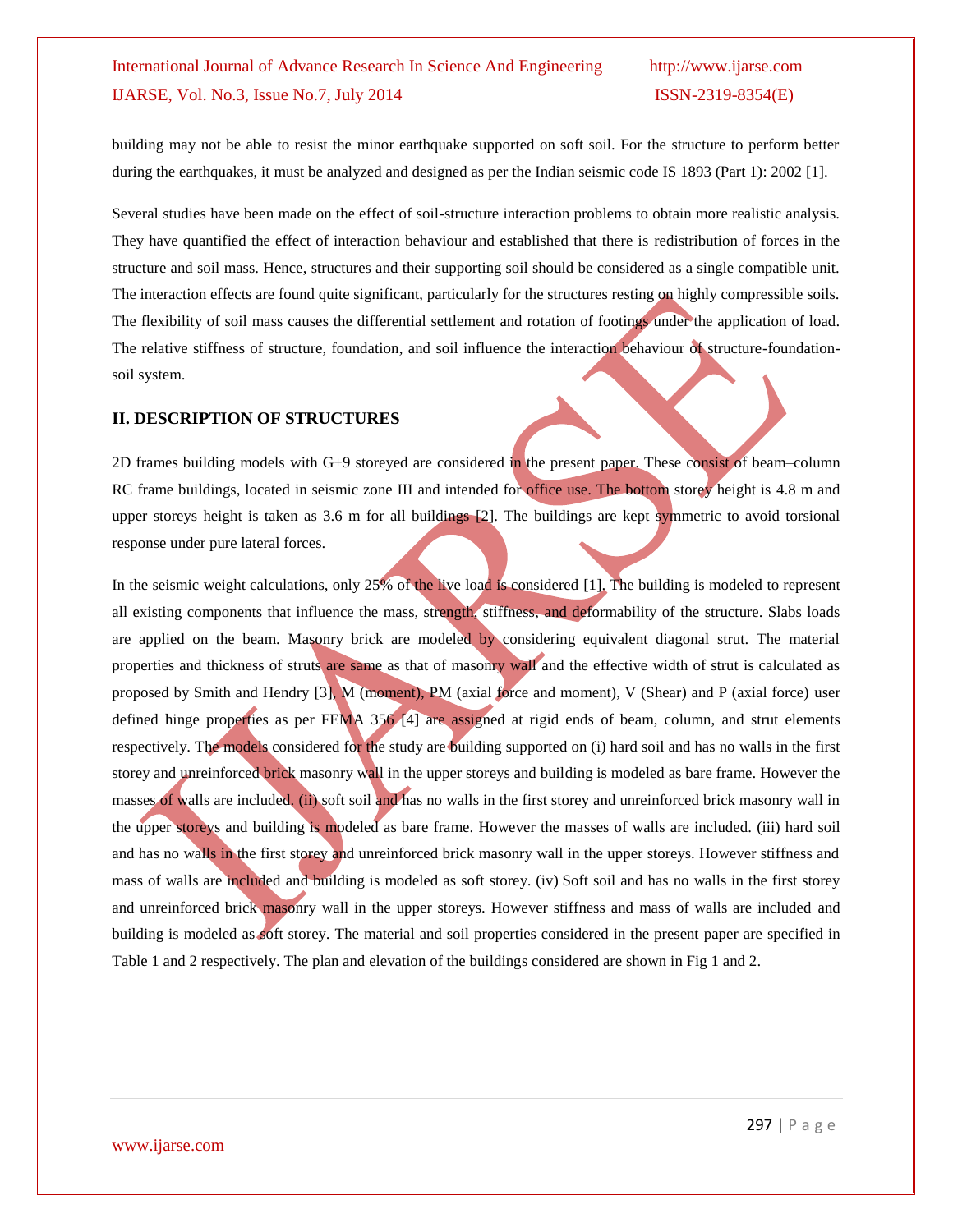building may not be able to resist the minor earthquake supported on soft soil. For the structure to perform better during the earthquakes, it must be analyzed and designed as per the Indian seismic code IS 1893 (Part 1): 2002 [1].

Several studies have been made on the effect of soil-structure interaction problems to obtain more realistic analysis. They have quantified the effect of interaction behaviour and established that there is redistribution of forces in the structure and soil mass. Hence, structures and their supporting soil should be considered as a single compatible unit. The interaction effects are found quite significant, particularly for the structures resting on highly compressible soils. The flexibility of soil mass causes the differential settlement and rotation of footings under the application of load. The relative stiffness of structure, foundation, and soil influence the interaction behaviour of structure-foundationsoil system.

## **II. DESCRIPTION OF STRUCTURES**

2D frames building models with G+9 storeyed are considered in the present paper. These consist of beam–column RC frame buildings, located in seismic zone III and intended for office use. The bottom storey height is 4.8 m and upper storeys height is taken as  $3.6$  m for all buildings  $[2]$ . The buildings are kept symmetric to avoid torsional response under pure lateral forces.

In the seismic weight calculations, only 25% of the live load is considered [1]. The building is modeled to represent all existing components that influence the mass, strength, stiffness, and deformability of the structure. Slabs loads are applied on the beam. Masonry brick are modeled by considering equivalent diagonal strut. The material properties and thickness of struts are same as that of masonry wall and the effective width of strut is calculated as proposed by Smith and Hendry [3], M (moment), PM (axial force and moment), V (Shear) and P (axial force) user defined hinge properties as per FEMA 356 [4] are assigned at rigid ends of beam, column, and strut elements respectively. The models considered for the study are building supported on (i) hard soil and has no walls in the first storey and unreinforced brick masonry wall in the upper storeys and building is modeled as bare frame. However the masses of walls are included. (ii) soft soil and has no walls in the first storey and unreinforced brick masonry wall in the upper storeys and building is modeled as bare frame. However the masses of walls are included. (iii) hard soil and has no walls in the first storey and unreinforced brick masonry wall in the upper storeys. However stiffness and mass of walls are included and building is modeled as soft storey. (iv) Soft soil and has no walls in the first storey and unreinforced brick masonry wall in the upper storeys. However stiffness and mass of walls are included and building is modeled as soft storey. The material and soil properties considered in the present paper are specified in Table 1 and 2 respectively. The plan and elevation of the buildings considered are shown in Fig 1 and 2.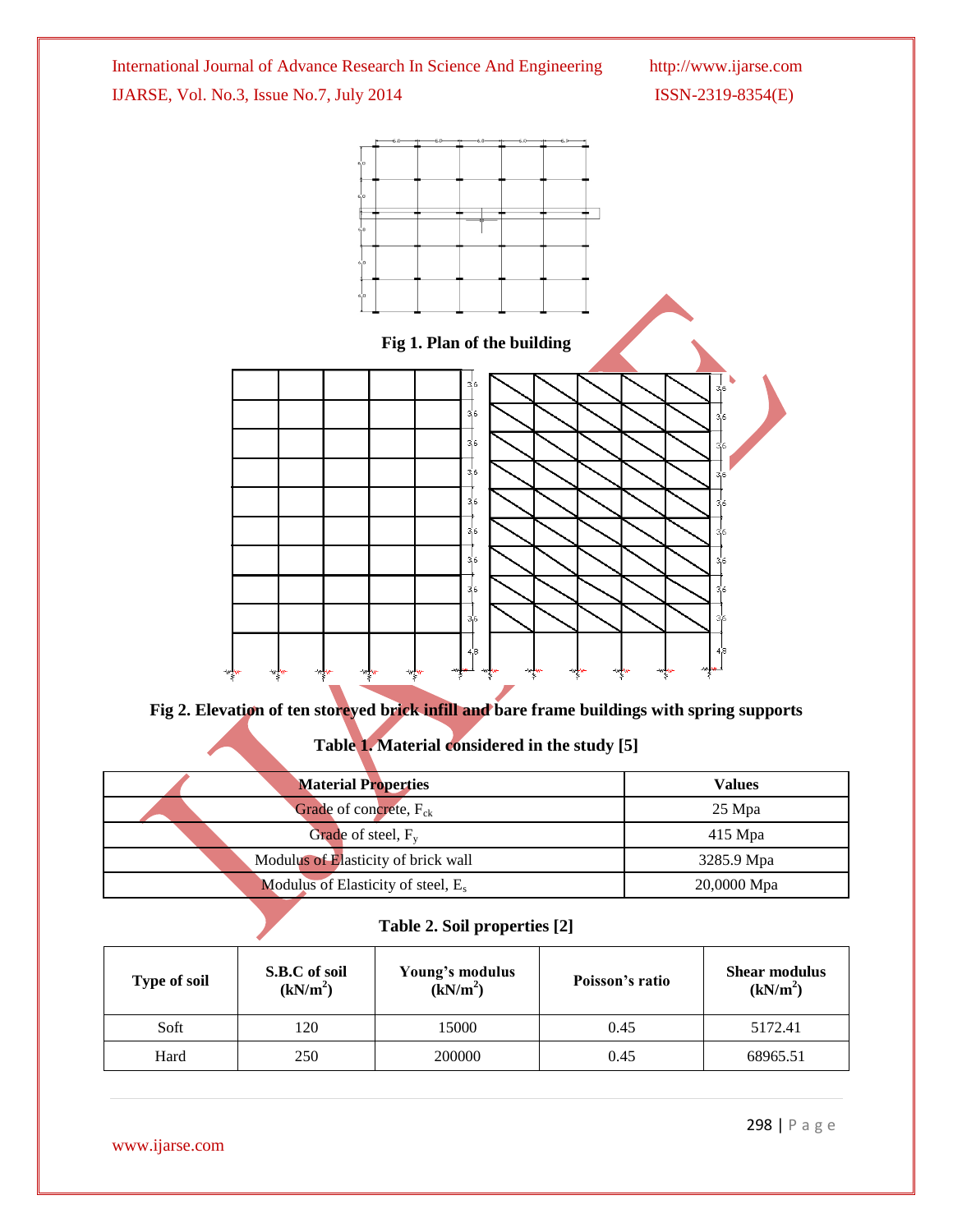

**Fig 2. Elevation of ten storeyed brick infill and bare frame buildings with spring supports**

# **Table 1. Material considered in the study [5]**

| <b>Material Properties</b>            | <b>Values</b> |
|---------------------------------------|---------------|
| Grade of concrete, $F_{ck}$           | $25$ Mpa      |
| Grade of steel, $F_v$                 | $415$ Mpa     |
| Modulus of Elasticity of brick wall   | 3285.9 Mpa    |
| Modulus of Elasticity of steel, $E_s$ | 20,0000 Mpa   |

# **Table 2. Soil properties [2]**

| <b>Type of soil</b> | S.B.C of soil<br>(kN/m <sup>2</sup> ) | Young's modulus<br>$(\bar{k}N/m^2)$ | Poisson's ratio | <b>Shear modulus</b><br>(kN/m <sup>2</sup> ) |
|---------------------|---------------------------------------|-------------------------------------|-----------------|----------------------------------------------|
| Soft                | 120                                   | 15000                               | 0.45            | 5172.41                                      |
| Hard                | 250                                   | 200000                              | 0.45            | 68965.51                                     |

www.ijarse.com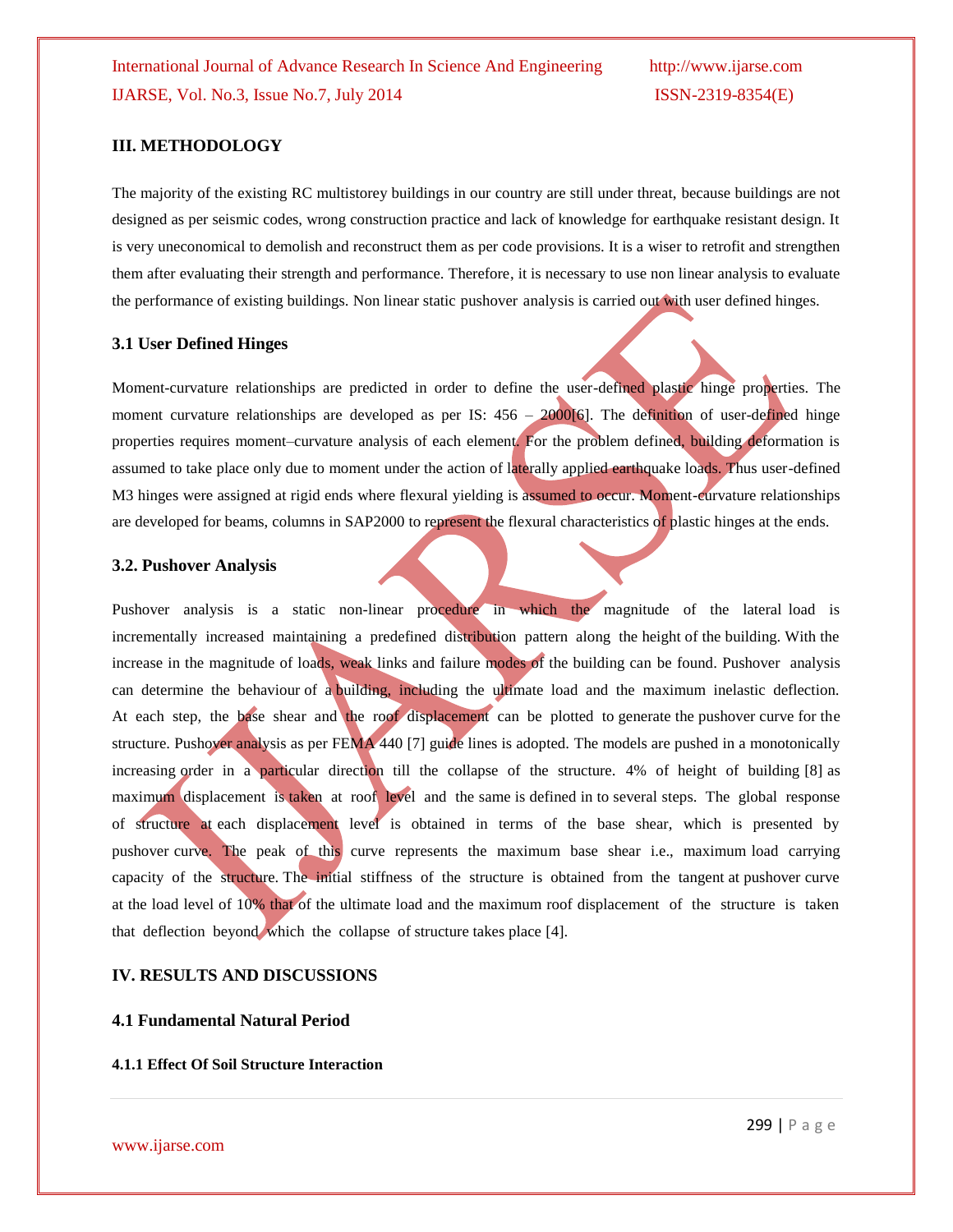### **III. METHODOLOGY**

The majority of the existing RC multistorey buildings in our country are still under threat, because buildings are not designed as per seismic codes, wrong construction practice and lack of knowledge for earthquake resistant design. It is very uneconomical to demolish and reconstruct them as per code provisions. It is a wiser to retrofit and strengthen them after evaluating their strength and performance. Therefore, it is necessary to use non linear analysis to evaluate the performance of existing buildings. Non linear static pushover analysis is carried out with user defined hinges.

#### **3.1 User Defined Hinges**

Moment-curvature relationships are predicted in order to define the user-defined plastic hinge properties. The moment curvature relationships are developed as per IS:  $456 - 2000[6]$ . The definition of user-defined hinge properties requires moment–curvature analysis of each element. For the problem defined, building deformation is assumed to take place only due to moment under the action of laterally applied earthquake loads. Thus user-defined M3 hinges were assigned at rigid ends where flexural yielding is assumed to occur. Moment-curvature relationships are developed for beams, columns in SAP2000 to represent the flexural characteristics of plastic hinges at the ends.

#### **3.2. Pushover Analysis**

Pushover analysis is a static non-linear procedure in which the magnitude of the lateral load is incrementally increased maintaining a predefined distribution pattern along the height of the building. With the increase in the magnitude of loads, weak links and failure modes of the building can be found. Pushover analysis can determine the behaviour of a building, including the ultimate load and the maximum inelastic deflection. At each step, the base shear and the roof displacement can be plotted to generate the pushover curve for the structure. Pushover analysis as per FEMA 440 [7] guide lines is adopted. The models are pushed in a monotonically increasing order in a particular direction till the collapse of the structure. 4% of height of building [8] as maximum displacement is taken at roof level and the same is defined in to several steps. The global response of structure at each displacement level is obtained in terms of the base shear, which is presented by pushover curve. The peak of this curve represents the maximum base shear i.e., maximum load carrying capacity of the structure. The initial stiffness of the structure is obtained from the tangent at pushover curve at the load level of 10% that of the ultimate load and the maximum roof displacement of the structure is taken that deflection beyond which the collapse of structure takes place [4].

## **IV. RESULTS AND DISCUSSIONS**

#### **4.1 Fundamental Natural Period**

#### **4.1.1 Effect Of Soil Structure Interaction**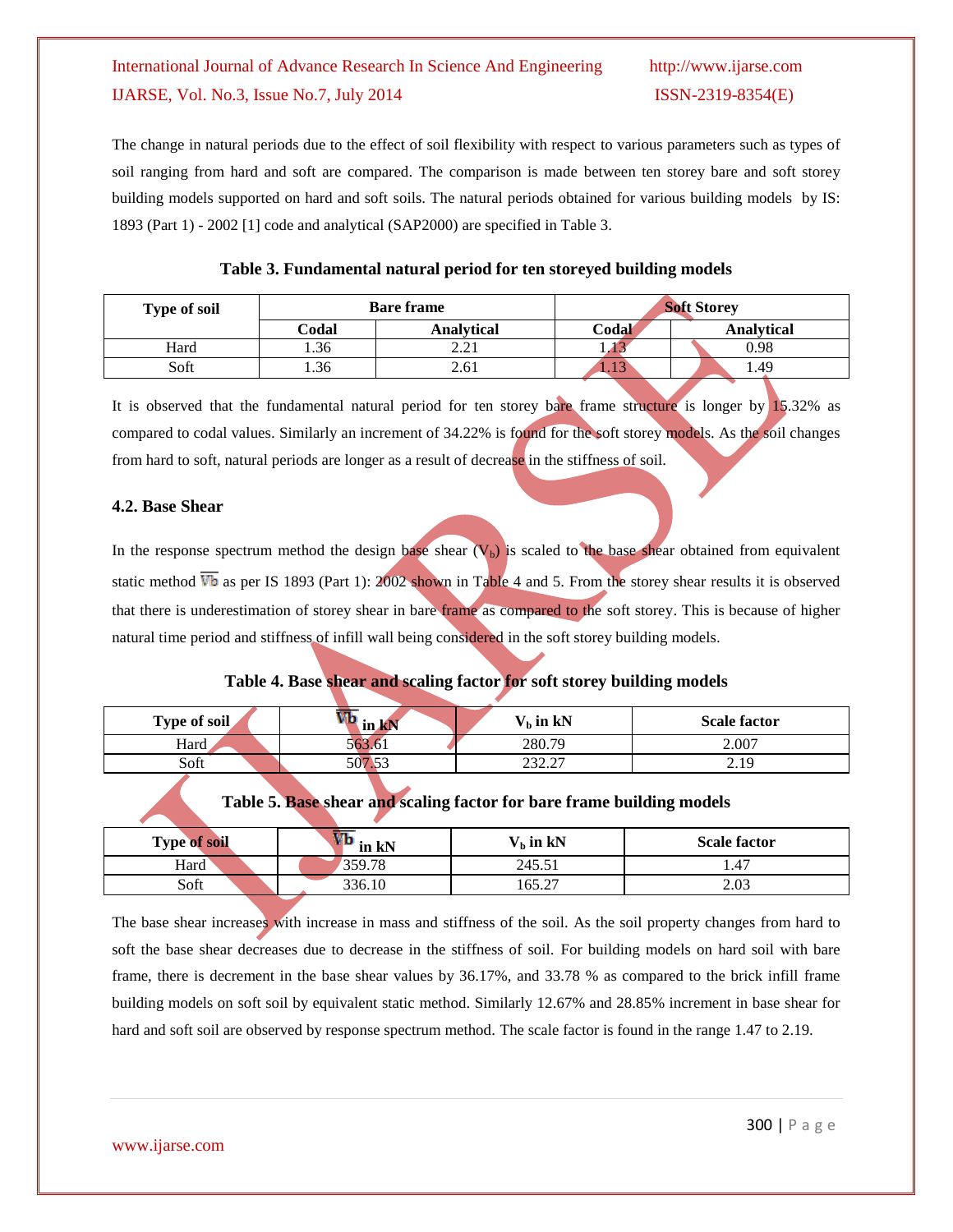The change in natural periods due to the effect of soil flexibility with respect to various parameters such as types of soil ranging from hard and soft are compared. The comparison is made between ten storey bare and soft storey building models supported on hard and soft soils. The natural periods obtained for various building models by IS: 1893 (Part 1) - 2002 [1] code and analytical (SAP2000) are specified in Table 3.

| <b>Type of soil</b> |       | <b>Bare frame</b> | <b>Soft Storey</b> |                   |  |  |  |
|---------------------|-------|-------------------|--------------------|-------------------|--|--|--|
|                     | Codal | <b>Analytical</b> | Codah              | <b>Analytical</b> |  |  |  |
| Hard                | 1.36  | າ າາ<br>4.4I      | ---                | 0.98              |  |  |  |
| Soft                | 1.36  | 2.61              | - 1. 1. 9          | 1.49              |  |  |  |

## **Table 3. Fundamental natural period for ten storeyed building models**

It is observed that the fundamental natural period for ten storey bare frame structure is longer by 15.32% as compared to codal values. Similarly an increment of 34.22% is found for the soft storey models. As the soil changes from hard to soft, natural periods are longer as a result of decrease in the stiffness of soil.

## **4.2. Base Shear**

In the response spectrum method the design base shear  $(V_b)$  is scaled to the base shear obtained from equivalent static method  $\overline{Vb}$  as per IS 1893 (Part 1): 2002 shown in Table 4 and 5. From the storey shear results it is observed that there is underestimation of storey shear in bare frame as compared to the soft storey. This is because of higher natural time period and stiffness of infill wall being considered in the soft storey building models.

# **Table 4. Base shear and scaling factor for soft storey building models**

| Type of soil | . ir<br>шим | $V_b$ in kN      | <b>Scale factor</b> |
|--------------|-------------|------------------|---------------------|
| Hard         | 563.61      | 280.79           | 2.007               |
| Soft         | 507.53      | 222.27<br>المدرس | 2.19                |

## **Table 5. Base shear and scaling factor for bare frame building models**

| <b>Type of soil</b> | in kN<br>v v | $Vb$ in kN | <b>Scale factor</b> |
|---------------------|--------------|------------|---------------------|
| Hard                | 359.78       | 245.51     | 1.47                |
| Soft                | 336.10       | 165.27     | 2.03                |

The base shear increases with increase in mass and stiffness of the soil. As the soil property changes from hard to soft the base shear decreases due to decrease in the stiffness of soil. For building models on hard soil with bare frame, there is decrement in the base shear values by 36.17%, and 33.78 % as compared to the brick infill frame building models on soft soil by equivalent static method. Similarly 12.67% and 28.85% increment in base shear for hard and soft soil are observed by response spectrum method. The scale factor is found in the range 1.47 to 2.19.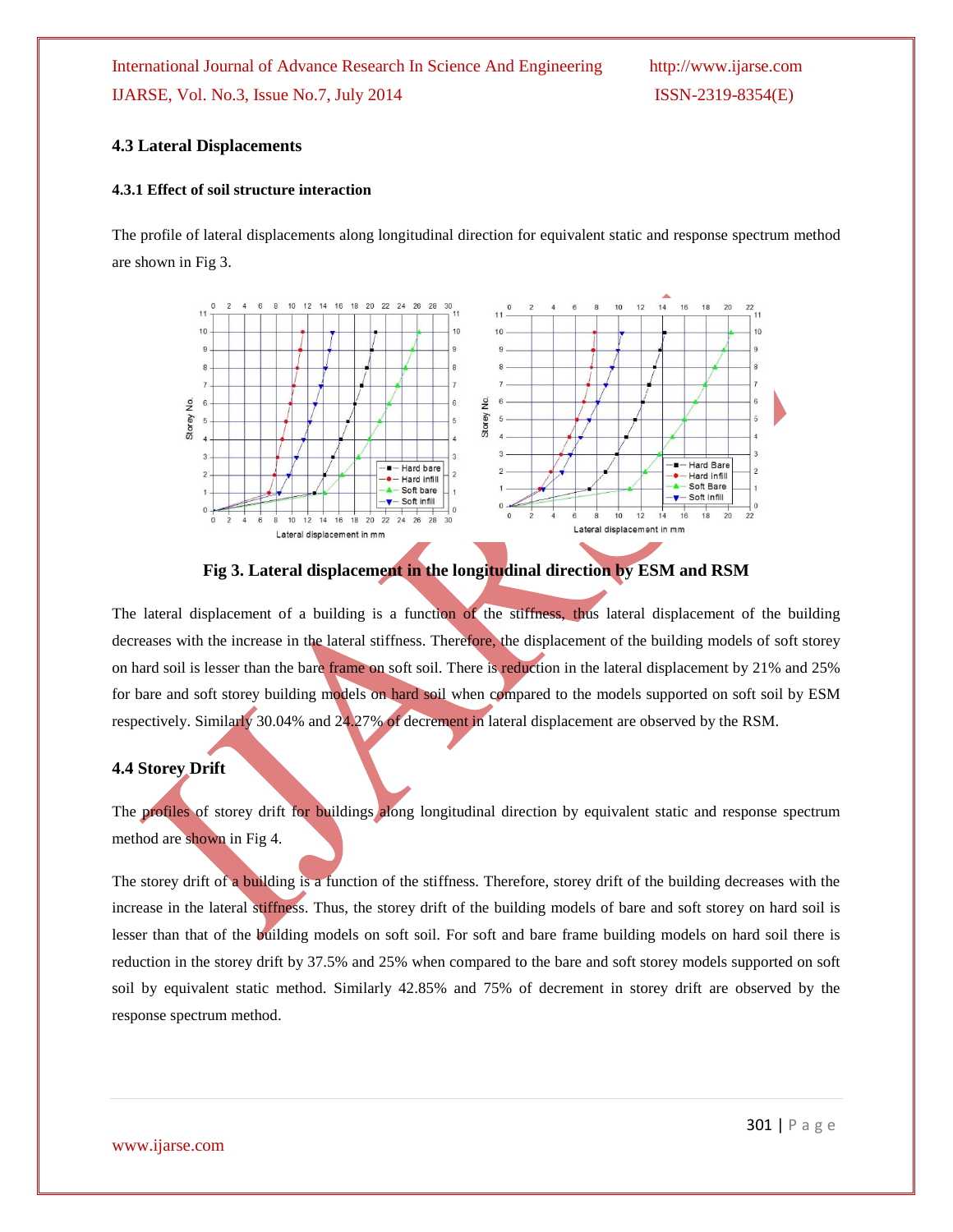## **4.3 Lateral Displacements**

#### **4.3.1 Effect of soil structure interaction**

The profile of lateral displacements along longitudinal direction for equivalent static and response spectrum method are shown in Fig 3.





The lateral displacement of a building is a function of the stiffness, thus lateral displacement of the building decreases with the increase in the lateral stiffness. Therefore, the displacement of the building models of soft storey on hard soil is lesser than the bare frame on soft soil. There is reduction in the lateral displacement by 21% and 25% for bare and soft storey building models on hard soil when compared to the models supported on soft soil by ESM respectively. Similarly 30.04% and 24.27% of decrement in lateral displacement are observed by the RSM.

## **4.4 Storey Drift**

The profiles of storey drift for buildings along longitudinal direction by equivalent static and response spectrum method are shown in Fig 4.

The storey drift of a building is a function of the stiffness. Therefore, storey drift of the building decreases with the increase in the lateral stiffness. Thus, the storey drift of the building models of bare and soft storey on hard soil is lesser than that of the building models on soft soil. For soft and bare frame building models on hard soil there is reduction in the storey drift by 37.5% and 25% when compared to the bare and soft storey models supported on soft soil by equivalent static method. Similarly 42.85% and 75% of decrement in storey drift are observed by the response spectrum method.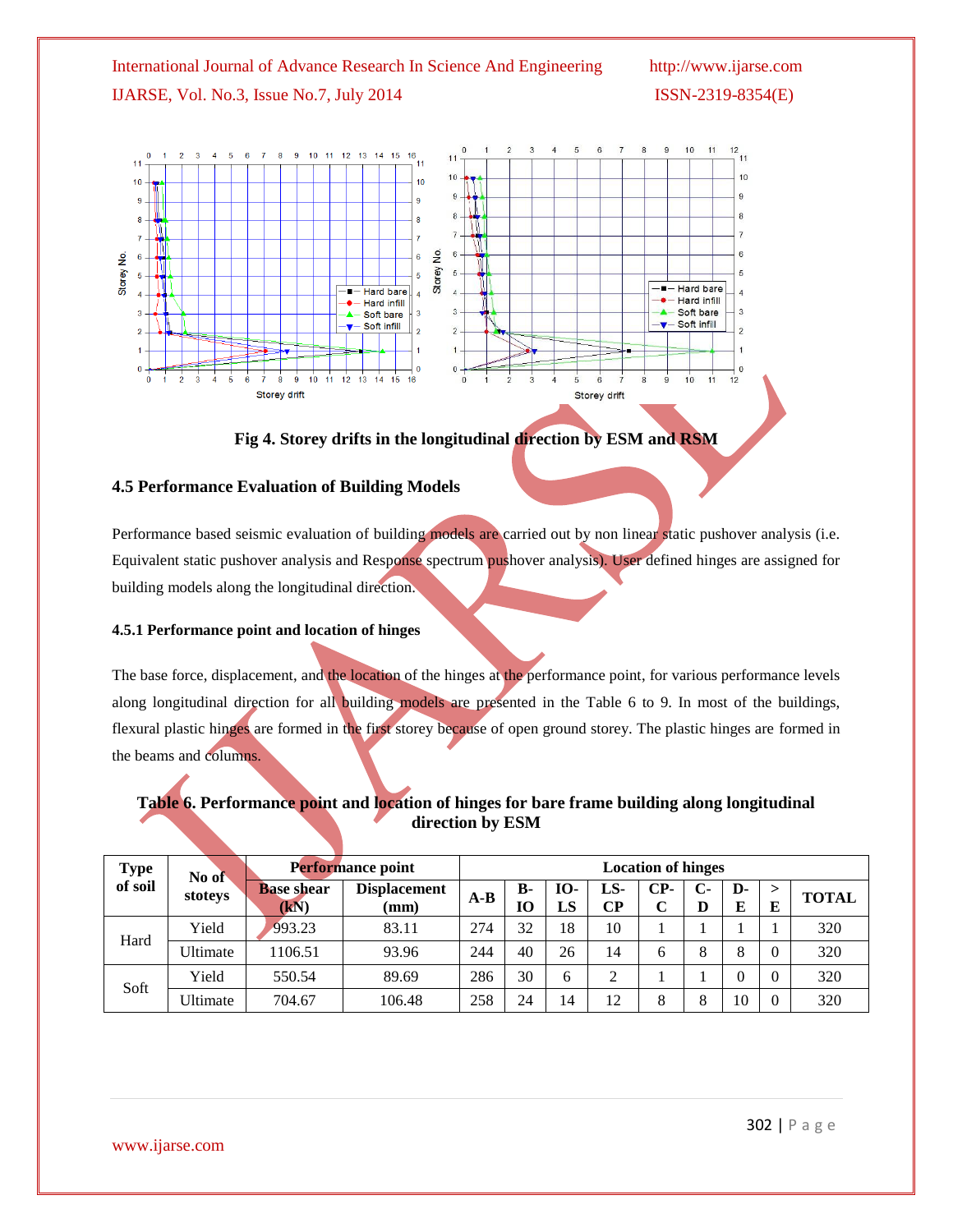

**Fig 4. Storey drifts in the longitudinal direction by ESM and RSM**

## **4.5 Performance Evaluation of Building Models**

Performance based seismic evaluation of building models are carried out by non linear static pushover analysis (i.e. Equivalent static pushover analysis and Response spectrum pushover analysis). User defined hinges are assigned for building models along the longitudinal direction.

#### **4.5.1 Performance point and location of hinges**

The base force, displacement, and the location of the hinges at the performance point, for various performance levels along longitudinal direction for all building models are presented in the Table 6 to 9. In most of the buildings, flexural plastic hinges are formed in the first storey because of open ground storey. The plastic hinges are formed in the beams and columns.

## **Table 6. Performance point and location of hinges for bare frame building along longitudinal direction by ESM**

| <b>Type</b>        | No of                     |                                        | Performance point | <b>Location of hinges</b> |                  |           |            |           |         |              |              |     |
|--------------------|---------------------------|----------------------------------------|-------------------|---------------------------|------------------|-----------|------------|-----------|---------|--------------|--------------|-----|
| of soil<br>stoteys | <b>Base shear</b><br>(kN) | <b>Displacement</b><br>$(\mathbf{mm})$ | $A-B$             | <b>B-</b><br>10           | <b>IO-</b><br>LS | LS-<br>CР | $CP-$<br>C | $C-$<br>D | D-<br>E | ><br>E       | <b>TOTAL</b> |     |
| Hard               | Yield                     | 993.23                                 | 83.11             | 274                       | 32               | 18        | 10         |           |         |              |              | 320 |
|                    | Ultimate                  | 1106.51                                | 93.96             | 244                       | 40               | 26        | 14         | 6         | 8       | $\circ$<br>O |              | 320 |
|                    | Yield                     | 550.54                                 | 89.69             | 286                       | 30               | h.        | ↑          |           |         |              |              | 320 |
| Soft               | <b>Jltimate</b>           | 704.67                                 | 106.48            | 258                       | 24               | 14        | 12         | 8         | 8       | 10           |              | 320 |

www.ijarse.com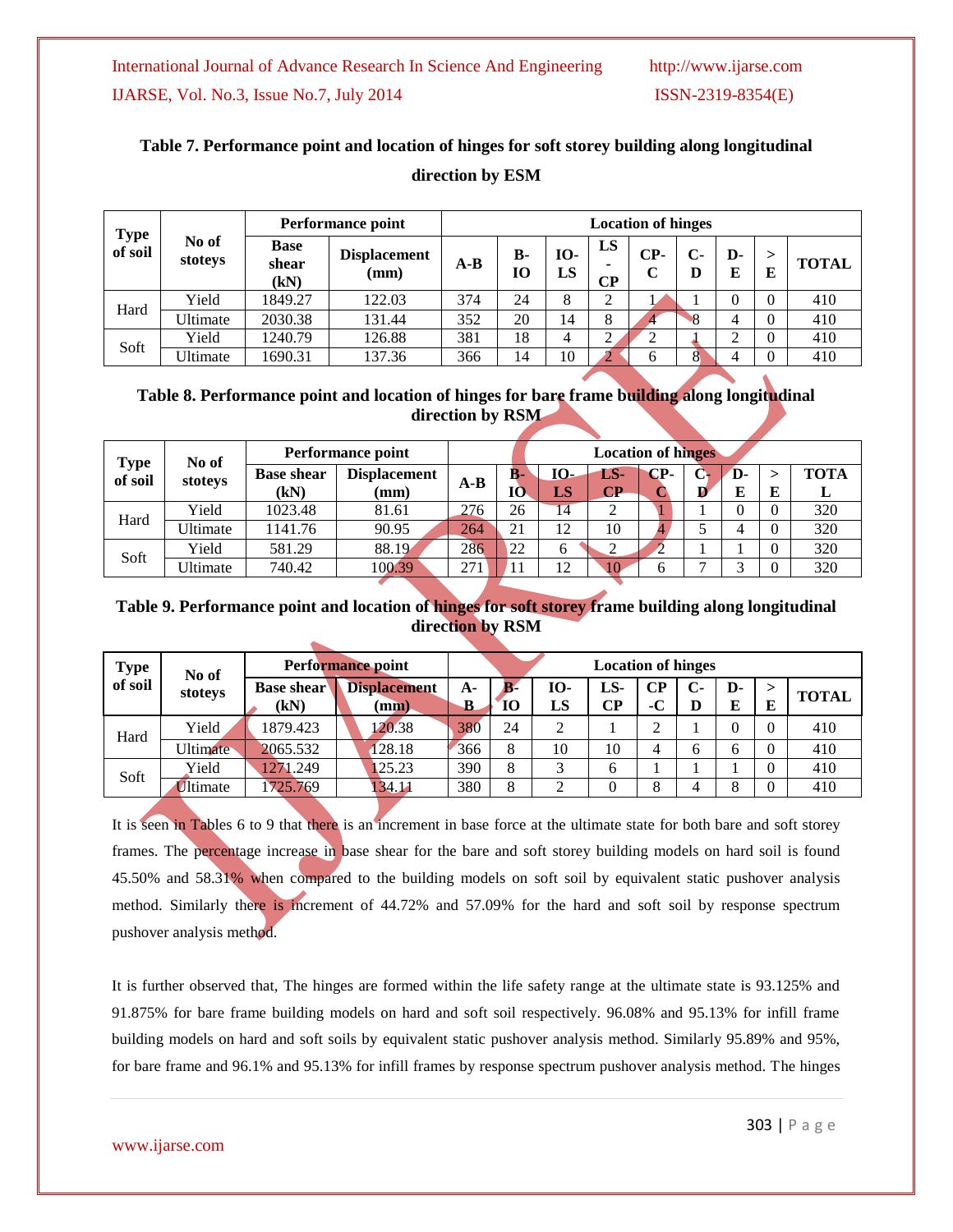# **Table 7. Performance point and location of hinges for soft storey building along longitudinal direction by ESM**

|                 |                  |                              | <b>Performance point</b>               |       | <b>Location of hinges</b> |                  |                |          |                             |                |              |              |  |
|-----------------|------------------|------------------------------|----------------------------------------|-------|---------------------------|------------------|----------------|----------|-----------------------------|----------------|--------------|--------------|--|
| Type<br>of soil | No of<br>stoteys | <b>Base</b><br>shear<br>(kN) | <b>Displacement</b><br>$(\mathbf{mm})$ | $A-B$ | $B -$<br>10               | <b>IO-</b><br>LS | LS<br>$\bf CP$ | CP-<br>C | $\mathbf{C}$<br>D           | D-<br>E        | ><br>E       | <b>TOTAL</b> |  |
| Hard            | Yield            | 1849.27                      | 122.03                                 | 374   | 24                        | 8                | ◠              |          |                             | $\overline{0}$ | $\theta$     | 410          |  |
|                 | Ultimate         | 2030.38                      | 131.44                                 | 352   | 20                        | 14               | 8              | 4        | $\mathcal{S}_{\mathcal{S}}$ | 4              | $\theta$     | 410          |  |
| Soft            | Yield            | 1240.79                      | 126.88                                 | 381   | 18                        | 4                | ◠<br>∠         | ◠        |                             | ◠<br>∠         | $\theta$     | 410          |  |
|                 | Ultimate         | 1690.31                      | 137.36                                 | 366   | 14                        | 10               |                | 6        | 8                           |                | $\mathbf{0}$ | 410          |  |

## **Table 8. Performance point and location of hinges for bare frame building along longitudinal direction by RSM**

| <b>Type</b> | No of    | <b>Performance point</b>  |                             |       | <b>Location of hinges</b> |           |                               |     |  |    |   |                  |
|-------------|----------|---------------------------|-----------------------------|-------|---------------------------|-----------|-------------------------------|-----|--|----|---|------------------|
| of soil     | stoteys  | <b>Base shear</b><br>(kN) | <b>Displacement</b><br>(mm) | $A-B$ | B-<br>10                  | IO-<br>LS | LS-<br>$\mathbb{C}\mathbf{P}$ | CP- |  | D- | E | <b>TOTA</b><br>≖ |
| Hard        | Yield    | 1023.48                   | 81.61                       | 276   | 26                        | 14        | ◠                             |     |  |    | 0 | 320              |
|             | Ultimate | 1141.76                   | 90.95                       | 264   | 21                        | 12        | 10                            |     |  |    | 0 | 320              |
| Soft        | Yield    | 581.29                    | 88.19                       | 286   | 22                        | 6         | ◠                             |     |  |    | 0 | 320              |
|             | Ultimate | 740.42                    | 100.39                      | 271   |                           | 12        | 10                            |     |  |    | 0 | 320              |

## **Table 9. Performance point and location of hinges for soft storey frame building along longitudinal direction by RSM**

| Type<br>of soil | No of            |                           | <b>Performance point</b>               |                | <b>Location of hinges</b> |          |           |            |                   |         |                |              |
|-----------------|------------------|---------------------------|----------------------------------------|----------------|---------------------------|----------|-----------|------------|-------------------|---------|----------------|--------------|
|                 | stoteys          | <b>Base shear</b><br>(kN) | <b>Displacement</b><br>$(\mathbf{mm})$ | A-<br>$\bf{B}$ | $\mathbf{B}$<br>10        | Ю-<br>LS | LS-<br>CР | CР<br>$-C$ | $\mathbf{C}$<br>D | D-<br>E | E              | <b>TOTAL</b> |
| Hard            | Yield            | 1879.423                  | 120.38                                 | 380            | 24                        | ◠        |           | ↑          |                   | 0       |                | 410          |
|                 | Ultimate         | 2065.532                  | 128.18                                 | 366            | 8                         | 10       | 10        | 4          | 6                 | 6       | $\theta$       | 410          |
| Soft            | Yield            | 1271.249                  | 125.23                                 | 390            | 8                         |          | 6         |            |                   |         |                | 410          |
|                 | <i>I</i> ltimate | 725.769                   | 134.11                                 | 380            | 8                         |          | 0         | 8          | 4                 | 8       | $\overline{0}$ | 410          |

It is seen in Tables 6 to 9 that there is an increment in base force at the ultimate state for both bare and soft storey frames. The percentage increase in base shear for the bare and soft storey building models on hard soil is found 45.50% and 58.31% when compared to the building models on soft soil by equivalent static pushover analysis method. Similarly there is increment of 44.72% and 57.09% for the hard and soft soil by response spectrum pushover analysis method.

It is further observed that, The hinges are formed within the life safety range at the ultimate state is 93.125% and 91.875% for bare frame building models on hard and soft soil respectively. 96.08% and 95.13% for infill frame building models on hard and soft soils by equivalent static pushover analysis method. Similarly 95.89% and 95%, for bare frame and 96.1% and 95.13% for infill frames by response spectrum pushover analysis method. The hinges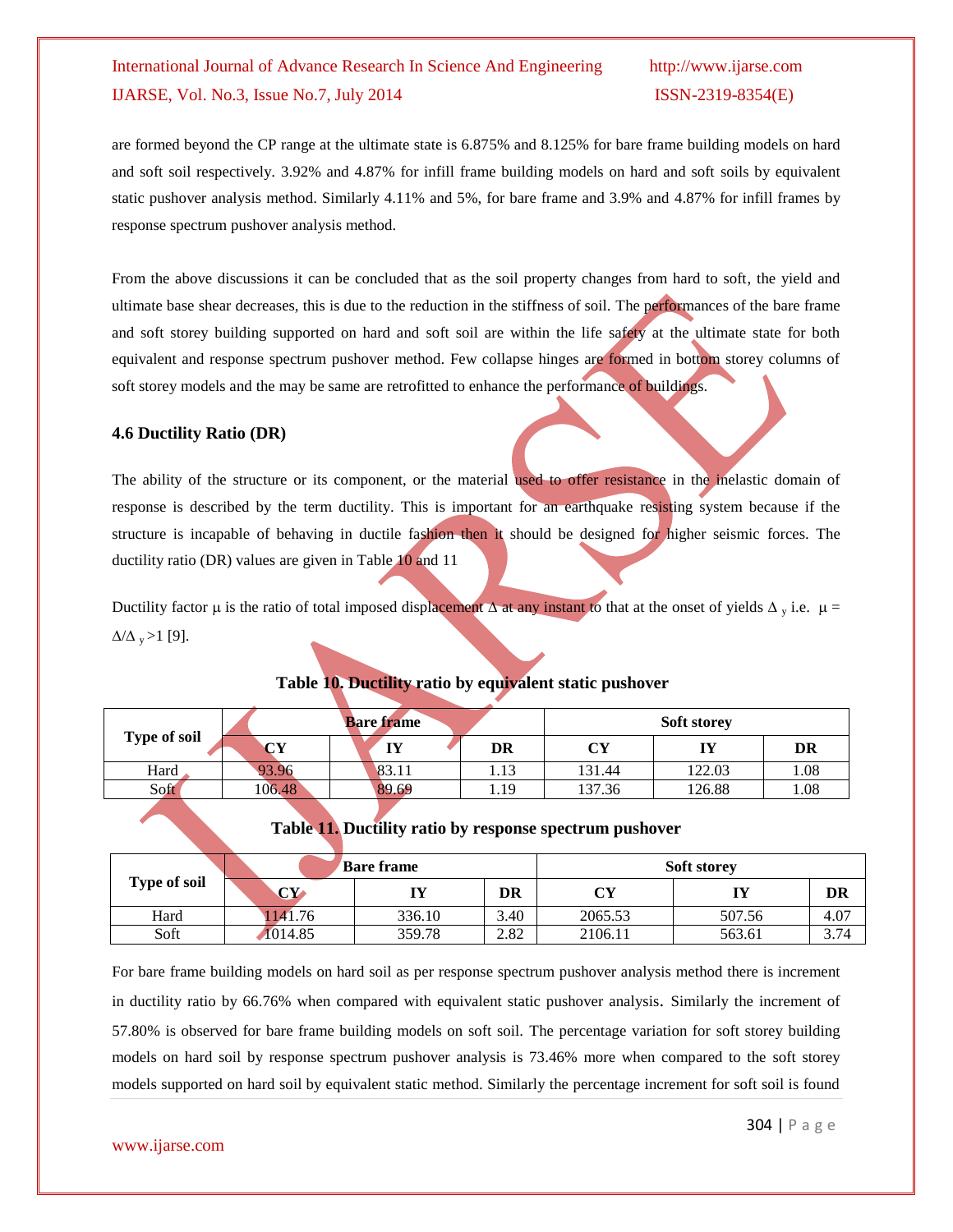are formed beyond the CP range at the ultimate state is 6.875% and 8.125% for bare frame building models on hard and soft soil respectively. 3.92% and 4.87% for infill frame building models on hard and soft soils by equivalent static pushover analysis method. Similarly 4.11% and 5%, for bare frame and 3.9% and 4.87% for infill frames by response spectrum pushover analysis method.

From the above discussions it can be concluded that as the soil property changes from hard to soft, the yield and ultimate base shear decreases, this is due to the reduction in the stiffness of soil. The performances of the bare frame and soft storey building supported on hard and soft soil are within the life safety at the ultimate state for both equivalent and response spectrum pushover method. Few collapse hinges are formed in bottom storey columns of soft storey models and the may be same are retrofitted to enhance the performance of buildings.

## **4.6 Ductility Ratio (DR)**

The ability of the structure or its component, or the material used to offer resistance in the inelastic domain of response is described by the term ductility. This is important for an earthquake resisting system because if the structure is incapable of behaving in ductile fashion then it should be designed for higher seismic forces. The ductility ratio (DR) values are given in Table 10 and 11

Ductility factor  $\mu$  is the ratio of total imposed displacement  $\Delta$  at any instant to that at the onset of yields  $\Delta_{v}$  i.e.  $\mu$  =  $\Delta/\Delta$ <sub>y</sub> > 1 [9].

|                     |        | <b>Bare frame</b> |      | <b>Soft storey</b> |        |      |  |  |
|---------------------|--------|-------------------|------|--------------------|--------|------|--|--|
| <b>Type of soil</b> | $\sim$ | TV<br>. .         | DR   | CY                 | IY     | DR   |  |  |
| Hard                | 93.96  | 83.11             | 1.13 | 131.44             | 122.03 | 1.08 |  |  |
| Soft                | 106.48 | 89.69             | 1.19 | 37.36              | 126.88 | 0.08 |  |  |

# **Table 10. Ductility ratio by equivalent static pushover**

## **Table 11. Ductility ratio by response spectrum pushover**

|                     |                        | <b>Bare frame</b> |      | <b>Soft storey</b> |        |      |  |  |
|---------------------|------------------------|-------------------|------|--------------------|--------|------|--|--|
| <b>Type of soil</b> | $\mathbf{C}\mathbf{Y}$ | IY                | DR   |                    |        | DR   |  |  |
| Hard                | 1141.76                | 336.10            | 3.40 | 2065.53            | 507.56 | 4.07 |  |  |
| Soft                | 1014.85                | 359.78            | 2.82 | 2106.11            | 563.61 | 3.74 |  |  |

For bare frame building models on hard soil as per response spectrum pushover analysis method there is increment in ductility ratio by 66.76% when compared with equivalent static pushover analysis. Similarly the increment of 57.80% is observed for bare frame building models on soft soil. The percentage variation for soft storey building models on hard soil by response spectrum pushover analysis is 73.46% more when compared to the soft storey models supported on hard soil by equivalent static method. Similarly the percentage increment for soft soil is found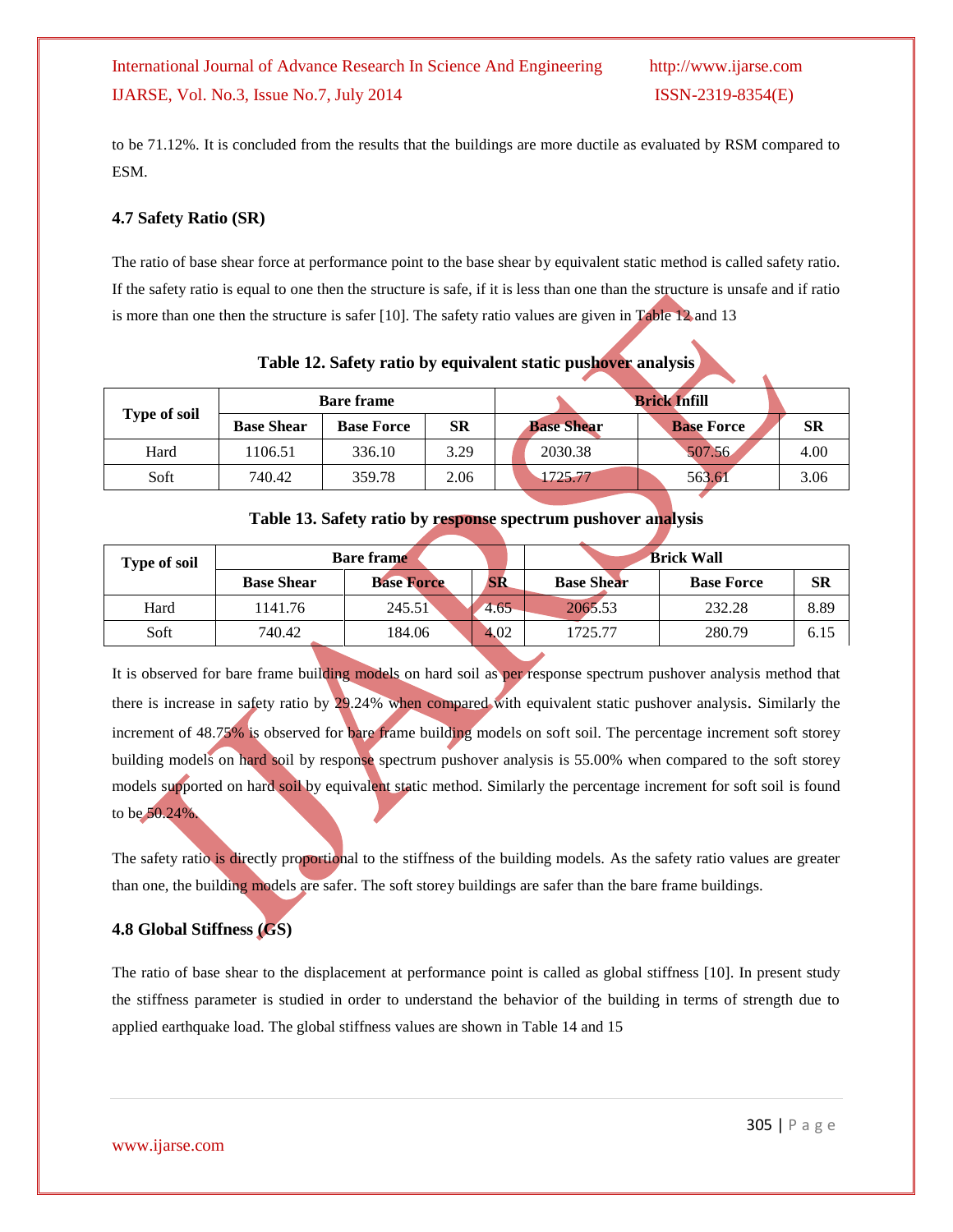to be 71.12%. It is concluded from the results that the buildings are more ductile as evaluated by RSM compared to ESM.

## **4.7 Safety Ratio (SR)**

The ratio of base shear force at performance point to the base shear by equivalent static method is called safety ratio. If the safety ratio is equal to one then the structure is safe, if it is less than one than the structure is unsafe and if ratio is more than one then the structure is safer [10]. The safety ratio values are given in Table 12 and 13

|                     |                   | <b>Bare frame</b> |           | <b>Brick Infill</b> |                   |      |
|---------------------|-------------------|-------------------|-----------|---------------------|-------------------|------|
| <b>Type of soil</b> | <b>Base Shear</b> | <b>Base Force</b> | <b>SR</b> | <b>Base Shear</b>   | <b>Base Force</b> | SR   |
| Hard                | 1106.51           | 336.10            | 3.29      | 2030.38             | 507.56            | 4.00 |
| Soft                | 740.42            | 359.78            | 2.06      | 1725.77             | 563.61            | 3.06 |

**Table 12. Safety ratio by equivalent static pushover analysis**

## **Table 13. Safety ratio by response spectrum pushover analysis**

| <b>Type of soil</b> |                   | <b>Bare frame</b> | <b>Brick Wall</b> |                   |                   |      |
|---------------------|-------------------|-------------------|-------------------|-------------------|-------------------|------|
|                     | <b>Base Shear</b> | <b>Base Force</b> | сĎ<br>OK.         | <b>Base Shear</b> | <b>Base Force</b> | SR   |
| Hard                | 1141.76           | 245.51            | 4.65              | 2065.53           | 232.28            | 8.89 |
| Soft                | 740.42            | 184.06            | 4.02              | 1725.77           | 280.79            | 6.15 |

It is observed for bare frame building models on hard soil as per response spectrum pushover analysis method that there is increase in safety ratio by 29.24% when compared with equivalent static pushover analysis. Similarly the increment of 48.75% is observed for bare frame building models on soft soil. The percentage increment soft storey building models on hard soil by response spectrum pushover analysis is 55.00% when compared to the soft storey models supported on hard soil by equivalent static method. Similarly the percentage increment for soft soil is found to be 50.24%.

The safety ratio is directly proportional to the stiffness of the building models. As the safety ratio values are greater than one, the building models are safer. The soft storey buildings are safer than the bare frame buildings.

# **4.8 Global Stiffness (GS)**

The ratio of base shear to the displacement at performance point is called as global stiffness [10]. In present study the stiffness parameter is studied in order to understand the behavior of the building in terms of strength due to applied earthquake load. The global stiffness values are shown in Table 14 and 15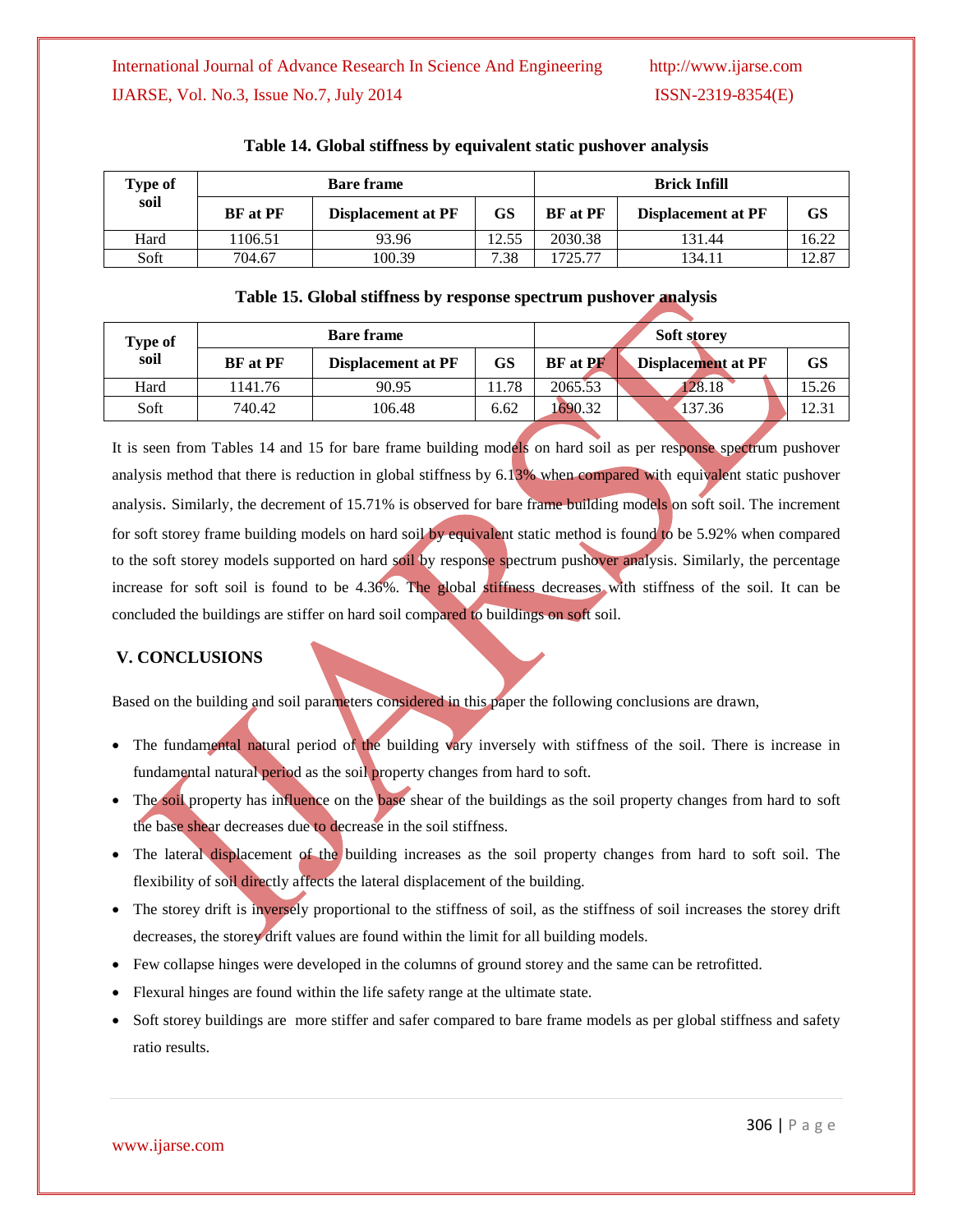| <b>Type of</b><br>soil | <b>Bare frame</b> |                           |           | <b>Brick Infill</b> |                    |       |
|------------------------|-------------------|---------------------------|-----------|---------------------|--------------------|-------|
|                        | <b>BF</b> at PF   | <b>Displacement at PF</b> | <b>GS</b> | <b>BF</b> at PF     | Displacement at PF | GS    |
| Hard                   | 106.51            | 93.96                     | 12.55     | 2030.38             | 131.44             | 16.22 |
| Soft                   | 704.67            | 100.39                    | 7.38      | 725.77              | 134.11             | 12.87 |

### **Table 14. Global stiffness by equivalent static pushover analysis**

### **Table 15. Global stiffness by response spectrum pushover analysis**

| Type of<br>soil | <b>Bare frame</b> |                           |      | <b>Soft storey</b> |                    |           |  |
|-----------------|-------------------|---------------------------|------|--------------------|--------------------|-----------|--|
|                 | <b>BF</b> at PF   | <b>Displacement at PF</b> | GS   | <b>BF</b> at PF    | Displacement at PF | <b>GS</b> |  |
| Hard            | 1141.76           | 90.95                     | 1.78 | 2065.53            | 28.18              | 15.26     |  |
| Soft            | 740.42            | 106.48                    | 6.62 | 1690.32            | 137.36             | 12.31     |  |

It is seen from Tables 14 and 15 for bare frame building models on hard soil as per response spectrum pushover analysis method that there is reduction in global stiffness by 6.13% when compared with equivalent static pushover analysis. Similarly, the decrement of 15.71% is observed for bare frame building models on soft soil. The increment for soft storey frame building models on hard soil by equivalent static method is found to be 5.92% when compared to the soft storey models supported on hard soil by response spectrum pushover analysis. Similarly, the percentage increase for soft soil is found to be 4.36%. The global stiffness decreases with stiffness of the soil. It can be concluded the buildings are stiffer on hard soil compared to buildings on soft soil.

# **V. CONCLUSIONS**

Based on the building and soil parameters considered in this paper the following conclusions are drawn,

- The fundamental natural period of the building vary inversely with stiffness of the soil. There is increase in fundamental natural period as the soil property changes from hard to soft.
- The soil property has influence on the base shear of the buildings as the soil property changes from hard to soft the base shear decreases due to decrease in the soil stiffness.
- The lateral displacement of the building increases as the soil property changes from hard to soft soil. The flexibility of soil directly affects the lateral displacement of the building.
- The storey drift is inversely proportional to the stiffness of soil, as the stiffness of soil increases the storey drift decreases, the storey drift values are found within the limit for all building models.
- Few collapse hinges were developed in the columns of ground storey and the same can be retrofitted.
- Flexural hinges are found within the life safety range at the ultimate state.
- Soft storey buildings are more stiffer and safer compared to bare frame models as per global stiffness and safety ratio results.